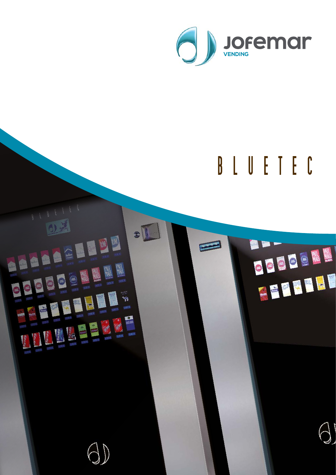

## BLUETEC

# $0.35$ FEED AND LES **ENTER DESCRIPTION AND RESIDENCE**

 $\bullet$ 

 $\sum$ 

CEEDEM EFFELI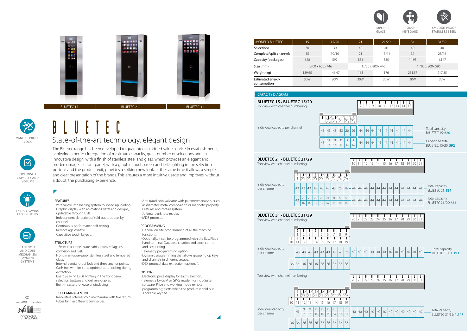The Bluetec range has been developed to guarantee an added-value service in establishments, achieving a perfect integration of maximum capacity, great number of selections and an innovative design, with a finish of stainless steel and glass, which provides an elegant and modern image. Its front panel, with a graphic touchscreen and LED lighting in the selection buttons and the product exit, provides a striking new look, at the same time it allows a simple and clear presentation of the brands. This ensures a more intuitive usage and improves, without a doubt, the purchasing experience.



### BLUETE State-of-the-art technology, elegant design

**STRUCTURE** • 1.5mm-thick steel-plate cabinet treated against corrosion and rust. • Front in smudge-proof stainless steel and tempered glass.

#### FEATURES

• Vertical column loading system to speed up loading. • Graphic display with animations, texts and designs,

- updatable through USB.
- 

• Independent detection of sold out products by

channel.

• Continuous performance self-testing.

• Remote age control. • Capacitive touch keypad.

• Internal vandal-proof lock and three anchor points. • Cash box with lock and optional auto-locking during

extraction.

• Energy-saving LEDs lighting in the front panel, selection buttons and delivery drawer. • Built-in casters for ease of displacing.

CREDIT MANAGEMENT

• Innovative Jofemar coin mechanism with five return

tubes for five different coin values.

- Anti-fraud coin validator with parameter analysis, such as diameter, metal composition or magnetic property. Features anti-thread system.
- Jofemar banknote reader.
- MDB protocol.

#### PROGRAMMING

- General on site programming of all the machine functions.
- Optionally, it can be programmed with the EasyFlash hand terminal. Database creation and stock control and accounting.
- Telemetry programming option.
- Dynamic programming that allows grouping up keys and channels in different setups.
- DEX protocol data extraction (optional).

#### OPTIONS

- Electronic price display for each selection.
- Telemetry by GSM or GPRS modem using J-Suite software. Price and working mode remote
- programming; alerts when the product is sold out. • Lockable keypad.







STAINLESS STEEL



LOCK

OPTIMISED CAPACITY AND VOLUME

 $\boxtimes$ 

ENERGY-SAVING LED LIGHTING



BANKNOTE AND COIN MECHANISM PAYMENT SYSTEMS



| <b>MODELO BLUETEC</b>           | 15               | 15/20  | 21  | 21/29            | 31               | 31/39  |  |  |  |
|---------------------------------|------------------|--------|-----|------------------|------------------|--------|--|--|--|
| <b>Selections</b>               | 30               | 30     | 40  | 40               | 40               | 40     |  |  |  |
| Complete/split channels         | 15               | 10/10  | 21  | 13/16            | 31               | 23/16  |  |  |  |
| Capacity (packages)             | 620              | 592    | 881 | 835              | 1.193            | 1.147  |  |  |  |
| Size (mm)                       | 1.700 x 600x 446 |        |     | 1.700 x 800x 446 | 1.700 x 800x 596 |        |  |  |  |
| Weight (kg)                     | 139,65           | 146.47 | 168 | 176              | 211.57           | 217,35 |  |  |  |
| Estimated energy<br>consumption | 30W              | 30W    | 30W | 30W              | 30W              | 30W    |  |  |  |



#### CAPACITY DIAGRAM





| CARACTER DRIVING                                                   |                            |                          |                           |                               |                            |                                      |                          |                             |                        |          |                                     |                    |                                    |                    |                   |          |              |          |    |                |                                                                                         |                                                           |                                            |  |
|--------------------------------------------------------------------|----------------------------|--------------------------|---------------------------|-------------------------------|----------------------------|--------------------------------------|--------------------------|-----------------------------|------------------------|----------|-------------------------------------|--------------------|------------------------------------|--------------------|-------------------|----------|--------------|----------|----|----------------|-----------------------------------------------------------------------------------------|-----------------------------------------------------------|--------------------------------------------|--|
| BLUETEC 15 · BLUETEC 15/20<br>Top view with channel numbering      |                            |                          |                           |                               |                            |                                      |                          |                             |                        |          | 7                                   | 8                  | Щ<br>9                             |                    | 10 11 12 13 14 15 |          |              |          |    |                |                                                                                         |                                                           |                                            |  |
| Individual capacity per channel                                    |                            |                          |                           | $\mathbf{1}$<br>43<br>43      | 43<br>21<br>16             | 19/21/318/419/52/6<br>43<br>21<br>16 | 43<br>21<br>16           | 26<br>5<br>16               | 26<br>$\sqrt{5}$<br>16 | 44<br>44 | 44                                  | 44<br>$44 \mid 44$ | 44<br>44                           | 44<br>44           | 44<br>44          | 44<br>44 | 44<br>44     | 44<br>44 |    |                | Total capacity<br><b>BLUETEC 15:620</b><br>Capacidad total<br><b>BLUETEC 15/20: 592</b> |                                                           |                                            |  |
| BLUETEC 21 . BLUETEC 21/29<br>Top view with channel numbering      |                            |                          |                           |                               |                            |                                      |                          |                             |                        |          | 10 11 12 13 14 15 16 17 18 19 20 21 |                    | U                                  |                    | U                 | U        | Ш            |          |    |                |                                                                                         |                                                           |                                            |  |
| Individual capacity<br>per channel                                 | $\overline{1}$<br>43<br>43 | 43<br>21<br>16           | $ 43\rangle$<br>21<br>16  | 43<br>21<br>16                | 43<br>21<br>16             | 43<br>21<br>16                       | 43<br>21<br>16           | 26<br>5<br>16               | 26<br>5<br>16          | 44<br>44 | 44<br>44                            | 44<br>44           | 44<br>44                           | 44<br>$44 \mid 44$ | 44                | 44<br>44 | 44<br>44     | 44<br>44 | 44 | 44 <br>44   44 | 44<br>44                                                                                | Total capacity<br><b>BLUETEC 21:881</b><br>Total capacity | <b>BLUETEC 21/29: 835</b>                  |  |
| BLUETEC 31 · BLUETEC 31/39<br>Top view with channel numbering<br>Ш | 1                          | U<br>$\overline{2}$      | 3<br>T                    | $\overline{4}$<br>T           | O<br>5<br>T                | 6<br>T                               | O<br>$\overline{7}$<br>T | U<br>8<br>U                 | T<br>9<br>T            |          | $20 \ 21$                           |                    | 22 23 24 25 26 27 28 29 30 31      |                    | U                 |          |              |          |    |                |                                                                                         |                                                           |                                            |  |
| 10<br>Individual capacity<br>per channel<br>36                     | 11<br>43<br>36             | 43<br>36                 | 43<br>36                  | 12 13 14 15 16 17<br>43<br>36 | 43<br>36                   | 43<br>$\vert$ 36                     | 43<br>36                 | 18<br>26<br>36              | 19<br>26<br>36         | 40       | 40                                  | $ 40\rangle$       | 40                                 | 40                 | 40                | 40       | 40           | 40       | 40 | 40             | 40                                                                                      |                                                           | Total capacity<br><b>BLUETEC 31: 1.193</b> |  |
| Top view with channel numbering                                    |                            |                          |                           |                               |                            |                                      |                          |                             |                        |          | Ш<br>$20 \ 21$                      | Ш                  | U<br>22 23 24 25 26 27 28 29 30 31 |                    | U                 | Ш        |              |          |    | U              |                                                                                         |                                                           |                                            |  |
| 10<br>Individual capacity<br>per channel                           | 11<br>43<br>36 36          | 12<br>$21\,$<br>16<br>36 | 3<br>13<br>21<br>16<br>36 | 14<br>21<br>16<br>36          | 35/36/37<br>15<br>21<br>16 | $16$ 17<br>21<br>16<br>36 36         | 7<br>21<br>16<br>36      | 8<br>18<br>5<br>16<br>36 36 | 9<br>19<br>5<br>16     | 40       | 40 40                               |                    | 40                                 | 40 40              |                   | 40       | $ 40\rangle$ | 40       | 40 | 40 40          |                                                                                         |                                                           | Total capacity<br>BLUETEC 31/39: 1.147     |  |